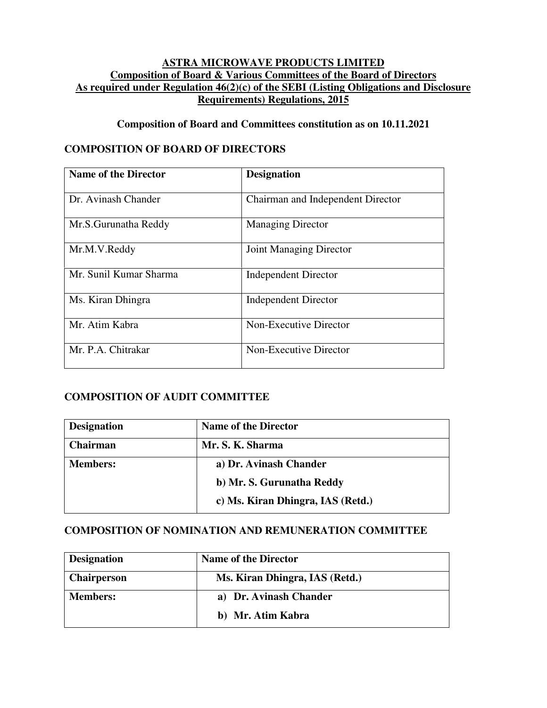#### **ASTRA MICROWAVE PRODUCTS LIMITED Composition of Board & Various Committees of the Board of Directors As required under Regulation 46(2)(c) of the SEBI (Listing Obligations and Disclosure Requirements) Regulations, 2015**

### **Composition of Board and Committees constitution as on 10.11.2021**

### **COMPOSITION OF BOARD OF DIRECTORS**

| <b>Name of the Director</b> | <b>Designation</b>                |
|-----------------------------|-----------------------------------|
| Dr. Avinash Chander         | Chairman and Independent Director |
| Mr.S.Gurunatha Reddy        | <b>Managing Director</b>          |
| Mr.M.V.Reddy                | Joint Managing Director           |
| Mr. Sunil Kumar Sharma      | <b>Independent Director</b>       |
| Ms. Kiran Dhingra           | <b>Independent Director</b>       |
| Mr. Atim Kabra              | Non-Executive Director            |
| Mr. P.A. Chitrakar          | Non-Executive Director            |

# **COMPOSITION OF AUDIT COMMITTEE**

| <b>Designation</b> | <b>Name of the Director</b>       |
|--------------------|-----------------------------------|
| Chairman           | Mr. S. K. Sharma                  |
| <b>Members:</b>    | a) Dr. Avinash Chander            |
|                    | b) Mr. S. Gurunatha Reddy         |
|                    | c) Ms. Kiran Dhingra, IAS (Retd.) |

### **COMPOSITION OF NOMINATION AND REMUNERATION COMMITTEE**

| <b>Designation</b> | <b>Name of the Director</b>    |  |
|--------------------|--------------------------------|--|
| <b>Chairperson</b> | Ms. Kiran Dhingra, IAS (Retd.) |  |
| <b>Members:</b>    | a) Dr. Avinash Chander         |  |
|                    | b) Mr. Atim Kabra              |  |